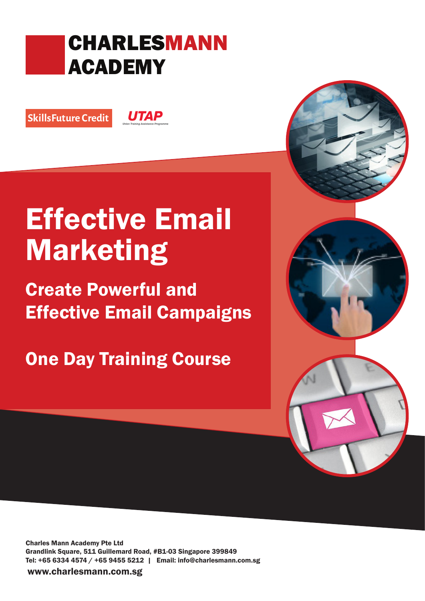# CHARLESMANN ACADEMY

SkillsFuture Credit

**UTAP** 

# Effective Email Marketing

Create Powerful and Effective Email Campaigns

**One Day Training Course** 

Charles Mann Academy Pte Ltd Grandlink Square, 511 Guillemard Road, #B1-03 Singapore 399849 Tel: +65 6334 4574 / +65 9455 5212 | Email: info@charlesmann.com.sg

www.charlesmann.com.sg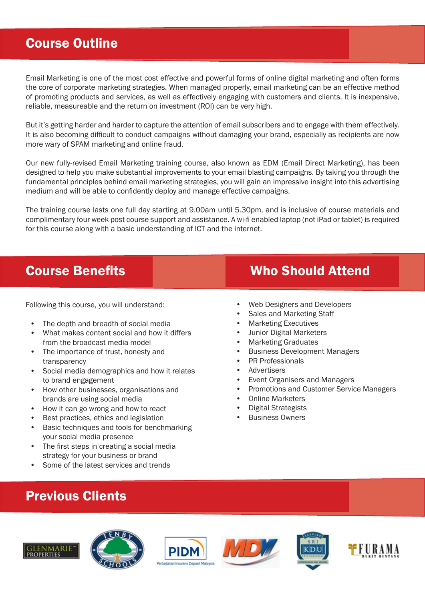#### Course Outline

Email Marketing is one of the most cost effective and powerful forms of online digital marketing and often forms the core of corporate marketing strategies. When managed properly, email marketing can be an effective method of promoting products and services, as well as effectively engaging with customers and clients. It is inexpensive, reliable, measureable and the return on investment (ROI) can be very high.

But it's getting harder and harder to capture the attention of email subscribers and to engage with them effectively. It is also becoming difficult to conduct campaigns without damaging your brand, especially as recipients are now more wary of SPAM marketing and online fraud.

Our new fully-revised Email Marketing training course, also known as EDM (Email Direct Marketing), has been designed to help you make substantial improvements to your email blasting campaigns. By taking you through the fundamental principles behind email marketing strategies, you will gain an impressive insight into this advertising medium and will be able to confidently deploy and manage effective campaigns.

The training course lasts one full day starting at 9.00am until 5.30pm, and is inclusive of course materials and complimentary four week post course support and assistance. A wi-fi enabled laptop (not iPad or tablet) is required for this course along with a basic understanding of ICT and the internet.

Following this course, you will understand:

- The depth and breadth of social media
- What makes content social and how it differs from the broadcast media model
- The importance of trust, honesty and transparency
- Social media demographics and how it relates to brand engagement
- How other businesses, organisations and brands are using social media
- How it can go wrong and how to react
- Best practices, ethics and legislation
- Basic techniques and tools for benchmarking your social media presence
- The first steps in creating a social media strategy for your business or brand
- Some of the latest services and trends

## **Course Benefits Course Benefits** Who Should Attend

- Web Designers and Developers
- Sales and Marketing Staff
- Marketing Executives
- Junior Digital Marketers
- Marketing Graduates
- Business Development Managers
- PR Professionals
- **Advertisers**
- Event Organisers and Managers
- Promotions and Customer Service Managers
- Online Marketers
- Digital Strategists
- **Business Owners**

#### Previous Clients









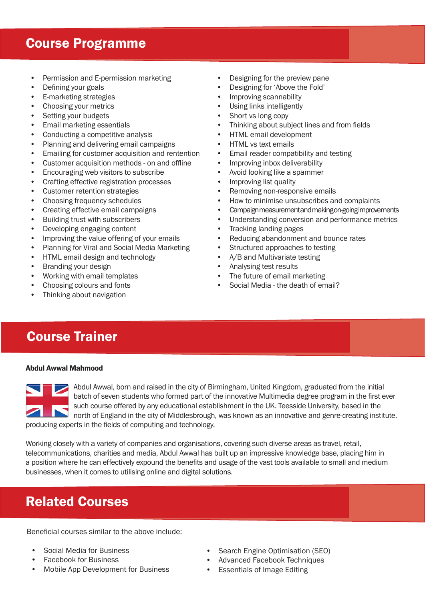#### Course Programme

- Permission and E-permission marketing
- Defining your goals
- E-marketing strategies
- Choosing your metrics
- Setting your budgets
- Email marketing essentials
- Conducting a competitive analysis
- Planning and delivering email campaigns
- Emailing for customer acquisition and rentention
- Customer acquisition methods on and offline
- Encouraging web visitors to subscribe
- Crafting effective registration processes
- Customer retention strategies
- Choosing frequency schedules
- Creating effective email campaigns
- Building trust with subscribers
- Developing engaging content
- Improving the value offering of your emails
- Planning for Viral and Social Media Marketing
- HTML email design and technology
- Branding your design
- Working with email templates
- Choosing colours and fonts
- Thinking about navigation
- Designing for the preview pane
- Designing for 'Above the Fold'
- Improving scannability
- Using links intelligently
- Short vs long copy
- Thinking about subject lines and from fields
- HTML email development
- HTML vs text emails
- Email reader compatibility and testing
- Improving inbox deliverability
- Avoid looking like a spammer
- Improving list quality
- Removing non-responsive emails
- How to minimise unsubscribes and complaints
- Campaign measurement and making on-going improvements
- Understanding conversion and performance metrics
- Tracking landing pages
- Reducing abandonment and bounce rates
- Structured approaches to testing
- A/B and Multivariate testing
- Analysing test results
- The future of email marketing
- Social Media the death of email?

## Course Trainer

#### Abdul Awwal Mahmood

Abdul Awwal, born and raised in the city of Birmingham, United Kingdom, graduated from the initial batch of seven students who formed part of the innovative Multimedia degree program in the first ever such course offered by any educational establishment in the UK. Teesside University, based in the such course onered by any conductional components are constituted in the city of Middlesbrough, was known as an innovative and genre-creating institute, producing experts in the fields of computing and technology.

Working closely with a variety of companies and organisations, covering such diverse areas as travel, retail, telecommunications, charities and media, Abdul Awwal has built up an impressive knowledge base, placing him in a position where he can effectively expound the benefits and usage of the vast tools available to small and medium businesses, when it comes to utilising online and digital solutions.

## Related Courses

Beneficial courses similar to the above include:

- Social Media for Business
- Facebook for Business
- Mobile App Development for Business
- Search Engine Optimisation (SEO)
- Advanced Facebook Techniques
- Essentials of Image Editing